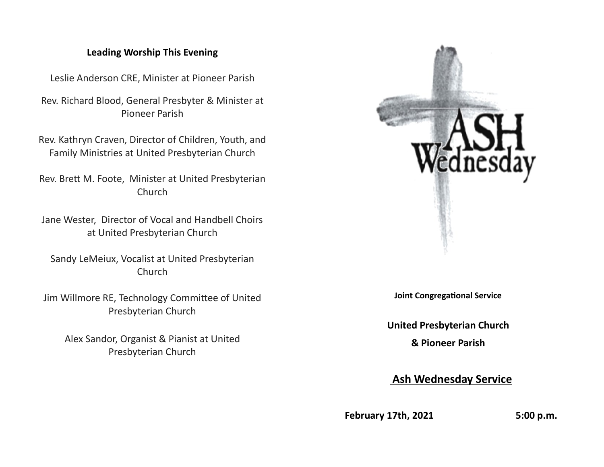### **Leading Worship This Evening**

Leslie Anderson CRE, Minister at Pioneer Parish

Rev. Richard Blood, General Presbyter & Minister at Pioneer Parish

Rev. Kathryn Craven, Director of Children, Youth, and Family Ministries at United Presbyterian Church

Rev. Brett M. Foote, Minister at United Presbyterian Church

Jane Wester, Director of Vocal and Handbell Choirs at United Presbyterian Church

Sandy LeMeiux, Vocalist at United Presbyterian Church

Jim Willmore RE, Technology Committee of United Presbyterian Church

Alex Sandor, Organist & Pianist at United Presbyterian Church



**Joint Congregational Service**

**United Presbyterian Church**

**& Pioneer Parish**

 **Ash Wednesday Service**

**February 17th, 2021** 5:00 p.m.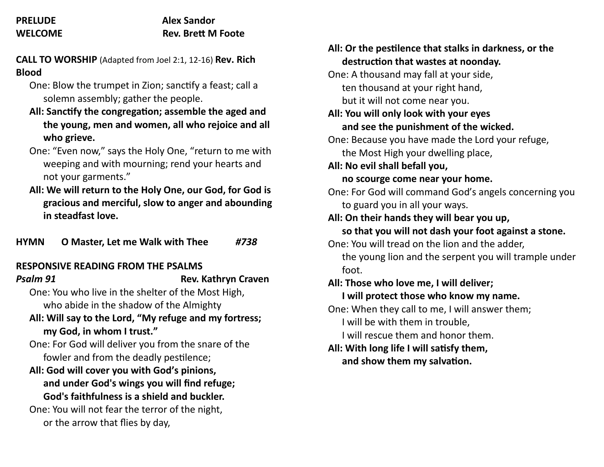## **PRELUDE Alex Sandor WELCOME Rev. Brett M Foote**

**CALL TO WORSHIP** (Adapted from Joel 2:1, 12-16) **Rev. Rich Blood**

- One: Blow the trumpet in Zion; sanctify a feast; call a solemn assembly; gather the people.
- **All: Sanctify the congregation; assemble the aged and the young, men and women, all who rejoice and all who grieve.**
- One: "Even now," says the Holy One, "return to me with weeping and with mourning; rend your hearts and not your garments."
- **All: We will return to the Holy One, our God, for God is gracious and merciful, slow to anger and abounding in steadfast love.**

**HYMN O Master, Let me Walk with Thee** *#738*

# **RESPONSIVE READING FROM THE PSALMS**

**Psalm 91** Rev. Kathryn Craven

One: You who live in the shelter of the Most High, who abide in the shadow of the Almighty

**All: Will say to the Lord, "My refuge and my fortress; my God, in whom I trust."**

One: For God will deliver you from the snare of the fowler and from the deadly pestilence;

# **All: God will cover you with God's pinions, and under God's wings you will find refuge; God's faithfulness is a shield and buckler.**

One: You will not fear the terror of the night, or the arrow that flies by day,

| All: Or the pestilence that stalks in darkness, or the |  |  |
|--------------------------------------------------------|--|--|
| destruction that wastes at noonday.                    |  |  |
| One: A thousand may fall at your side,                 |  |  |
| ten thousand at your right hand,                       |  |  |
| but it will not come near you.                         |  |  |
| All: You will only look with your eyes                 |  |  |
| and see the punishment of the wicked.                  |  |  |
| One: Because you have made the Lord your refuge,       |  |  |
| the Most High your dwelling place,                     |  |  |
| All: No evil shall befall you,                         |  |  |
| no scourge come near your home.                        |  |  |
| One: For God will command God's angels concerning you  |  |  |
| to guard you in all your ways.                         |  |  |
| All: On their hands they will bear you up,             |  |  |
| so that you will not dash your foot against a stone.   |  |  |
| One: You will tread on the lion and the adder,         |  |  |
| the young lion and the serpent you will trample under  |  |  |
| foot.                                                  |  |  |
| All: Those who love me, I will deliver;                |  |  |
| I will protect those who know my name.                 |  |  |
| One: When they call to me, I will answer them;         |  |  |
| I will be with them in trouble,                        |  |  |
| I will rescue them and honor them.                     |  |  |
| All: With long life I will satisfy them,               |  |  |
| and show them my salvation.                            |  |  |
|                                                        |  |  |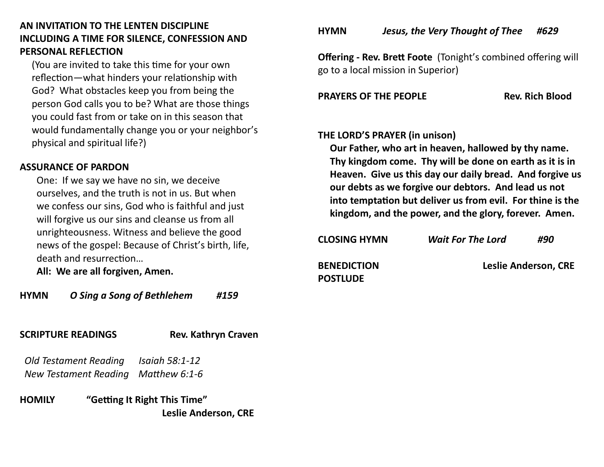# **AN INVITATION TO THE LENTEN DISCIPLINE INCLUDING A TIME FOR SILENCE, CONFESSION AND PERSONAL REFLECTION**

 (You are invited to take this time for your own reflection—what hinders your relationship with God? What obstacles keep you from being the person God calls you to be? What are those things you could fast from or take on in this season that would fundamentally change you or your neighbor's physical and spiritual life?)

## **ASSURANCE OF PARDON**

One: If we say we have no sin, we deceive ourselves, and the truth is not in us. But when we confess our sins, God who is faithful and just will forgive us our sins and cleanse us from all unrighteousness. Witness and believe the good news of the gospel: Because of Christ's birth, life, death and resurrection…

**All: We are all forgiven, Amen.**

# **HYMN** *O Sing a Song of Bethlehem #159*

# **SCRIPTURE READINGS Rev. Kathryn Craven**

 *Old Testament Reading Isaiah 58:1-12 New Testament Reading Matthew 6:1-6* 

**HOMILY "Getting It Right This Time"** **Leslie Anderson, CRE** **HYMN** *Jesus, the Very Thought of Thee #629*

**Offering - Rev. Brett Foote** (Tonight's combined offering will go to a local mission in Superior)

**PRAYERS OF THE PEOPLE Rev. Rich Blood** 

# **THE LORD'S PRAYER (in unison)**

 **Our Father, who art in heaven, hallowed by thy name. Thy kingdom come. Thy will be done on earth as it is in Heaven. Give us this day our daily bread. And forgive us our debts as we forgive our debtors. And lead us not into temptation but deliver us from evil. For thine is the kingdom, and the power, and the glory, forever. Amen.**

| <b>CLOSING HYMN</b>                   | <b>Wait For The Lord</b> | #90                         |
|---------------------------------------|--------------------------|-----------------------------|
| <b>BENEDICTION</b><br><b>POSTLUDE</b> |                          | <b>Leslie Anderson, CRE</b> |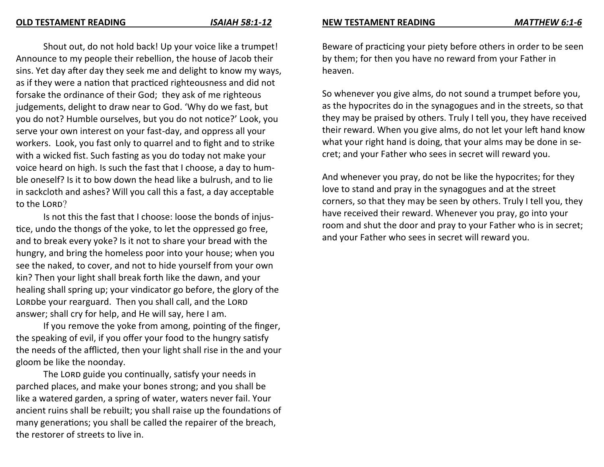Shout out, do not hold back! Up your voice like a trumpet! Announce to my people their rebellion, the house of Jacob their sins. Yet day after day they seek me and delight to know my ways, as if they were a nation that practiced righteousness and did not forsake the ordinance of their God; they ask of me righteous judgements, delight to draw near to God. 'Why do we fast, but you do not? Humble ourselves, but you do not notice?' Look, you serve your own interest on your fast-day, and oppress all your workers. Look, you fast only to quarrel and to fight and to strike with a wicked fist. Such fasting as you do today not make your voice heard on high. Is such the fast that I choose, a day to humble oneself? Is it to bow down the head like a bulrush, and to lie in sackcloth and ashes? Will you call this a fast, a day acceptable to the LORD?

Is not this the fast that I choose: loose the bonds of injustice, undo the thongs of the yoke, to let the oppressed go free, and to break every yoke? Is it not to share your bread with the hungry, and bring the homeless poor into your house; when you see the naked, to cover, and not to hide yourself from your own kin? Then your light shall break forth like the dawn, and your healing shall spring up; your vindicator go before, the glory of the LORDbe your rearguard. Then you shall call, and the LORD answer; shall cry for help, and He will say, here I am.

If you remove the yoke from among, pointing of the finger, the speaking of evil, if you offer your food to the hungry satisfy the needs of the afflicted, then your light shall rise in the and your gloom be like the noonday.

The LORD guide you continually, satisfy your needs in parched places, and make your bones strong; and you shall be like a watered garden, a spring of water, waters never fail. Your ancient ruins shall be rebuilt; you shall raise up the foundations of many generations; you shall be called the repairer of the breach, the restorer of streets to live in.

#### **NEW TESTAMENT READING** *MATTHEW 6:1-6*

Beware of practicing your piety before others in order to be seen by them; for then you have no reward from your Father in heaven.

So whenever you give alms, do not sound a trumpet before you, as the hypocrites do in the synagogues and in the streets, so that they may be praised by others. Truly I tell you, they have received their reward. When you give alms, do not let your left hand know what your right hand is doing, that your alms may be done in secret; and your Father who sees in secret will reward you.

And whenever you pray, do not be like the hypocrites; for they love to stand and pray in the synagogues and at the street corners, so that they may be seen by others. Truly I tell you, they have received their reward. Whenever you pray, go into your room and shut the door and pray to your Father who is in secret; and your Father who sees in secret will reward you.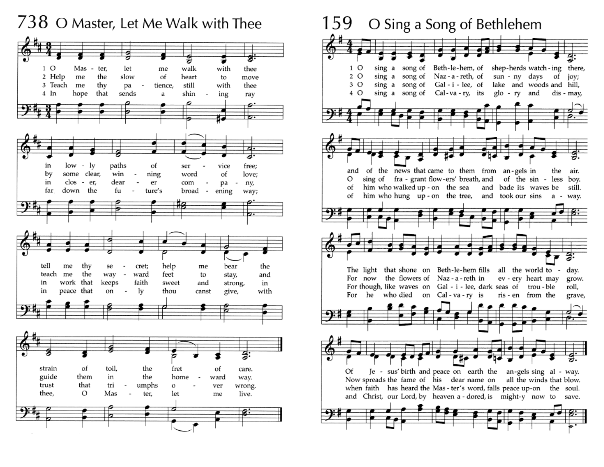